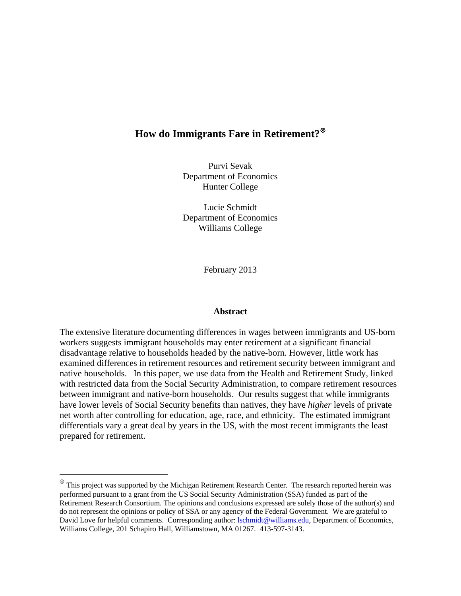# **How do Immigrants Fare in Retirement?**[⊗](#page-0-0)

Purvi Sevak Department of Economics Hunter College

Lucie Schmidt Department of Economics Williams College

February 2013

#### **Abstract**

The extensive literature documenting differences in wages between immigrants and US-born workers suggests immigrant households may enter retirement at a significant financial disadvantage relative to households headed by the native-born. However, little work has examined differences in retirement resources and retirement security between immigrant and native households. In this paper, we use data from the Health and Retirement Study, linked with restricted data from the Social Security Administration, to compare retirement resources between immigrant and native-born households. Our results suggest that while immigrants have lower levels of Social Security benefits than natives, they have *higher* levels of private net worth after controlling for education, age, race, and ethnicity. The estimated immigrant differentials vary a great deal by years in the US, with the most recent immigrants the least prepared for retirement.

<span id="page-0-0"></span>This project was supported by the Michigan Retirement Research Center. The research reported herein was performed pursuant to a grant from the US Social Security Administration (SSA) funded as part of the Retirement Research Consortium. The opinions and conclusions expressed are solely those of the author(s) and do not represent the opinions or policy of SSA or any agency of the Federal Government. We are grateful to David Love for helpful comments. Corresponding author: [lschmidt@williams.edu,](mailto:lschmidt@williams.edu) Department of Economics, Williams College, 201 Schapiro Hall, Williamstown, MA 01267. 413-597-3143.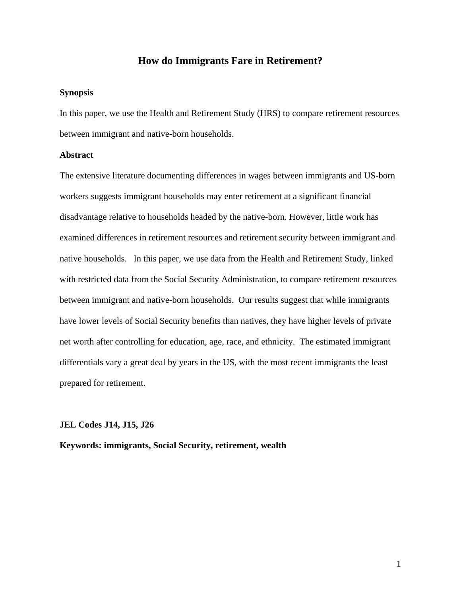## **How do Immigrants Fare in Retirement?**

#### **Synopsis**

In this paper, we use the Health and Retirement Study (HRS) to compare retirement resources between immigrant and native-born households.

### **Abstract**

The extensive literature documenting differences in wages between immigrants and US-born workers suggests immigrant households may enter retirement at a significant financial disadvantage relative to households headed by the native-born. However, little work has examined differences in retirement resources and retirement security between immigrant and native households. In this paper, we use data from the Health and Retirement Study, linked with restricted data from the Social Security Administration, to compare retirement resources between immigrant and native-born households. Our results suggest that while immigrants have lower levels of Social Security benefits than natives, they have higher levels of private net worth after controlling for education, age, race, and ethnicity. The estimated immigrant differentials vary a great deal by years in the US, with the most recent immigrants the least prepared for retirement.

### **JEL Codes J14, J15, J26**

**Keywords: immigrants, Social Security, retirement, wealth**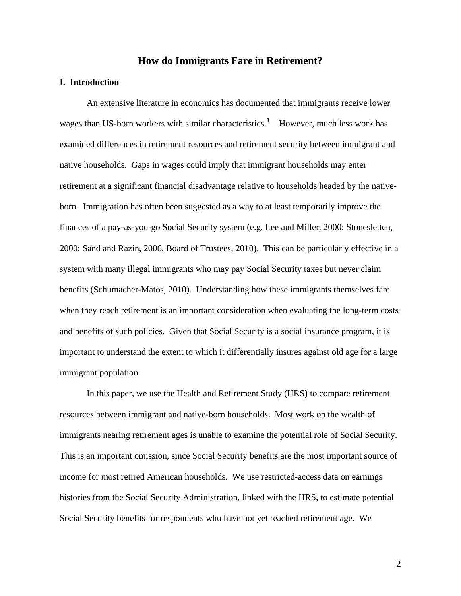## **How do Immigrants Fare in Retirement?**

### **I. Introduction**

An extensive literature in economics has documented that immigrants receive lower wages than US-born workers with similar characteristics.<sup>[1](#page-38-0)</sup> However, much less work has examined differences in retirement resources and retirement security between immigrant and native households. Gaps in wages could imply that immigrant households may enter retirement at a significant financial disadvantage relative to households headed by the nativeborn. Immigration has often been suggested as a way to at least temporarily improve the finances of a pay-as-you-go Social Security system (e.g. Lee and Miller, 2000; Stonesletten, 2000; Sand and Razin, 2006, Board of Trustees, 2010). This can be particularly effective in a system with many illegal immigrants who may pay Social Security taxes but never claim benefits (Schumacher-Matos, 2010). Understanding how these immigrants themselves fare when they reach retirement is an important consideration when evaluating the long-term costs and benefits of such policies. Given that Social Security is a social insurance program, it is important to understand the extent to which it differentially insures against old age for a large immigrant population.

In this paper, we use the Health and Retirement Study (HRS) to compare retirement resources between immigrant and native-born households. Most work on the wealth of immigrants nearing retirement ages is unable to examine the potential role of Social Security. This is an important omission, since Social Security benefits are the most important source of income for most retired American households. We use restricted-access data on earnings histories from the Social Security Administration, linked with the HRS, to estimate potential Social Security benefits for respondents who have not yet reached retirement age. We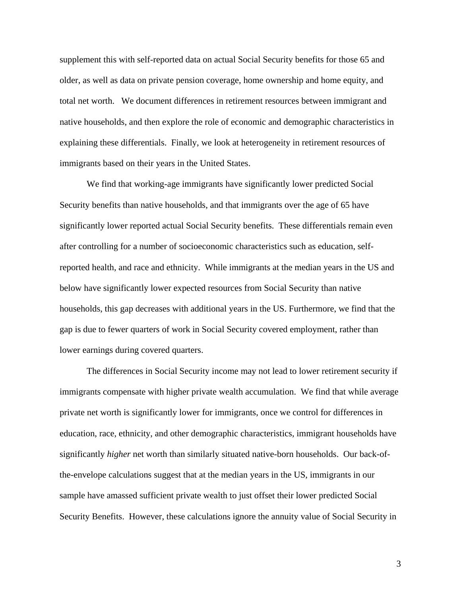supplement this with self-reported data on actual Social Security benefits for those 65 and older, as well as data on private pension coverage, home ownership and home equity, and total net worth. We document differences in retirement resources between immigrant and native households, and then explore the role of economic and demographic characteristics in explaining these differentials. Finally, we look at heterogeneity in retirement resources of immigrants based on their years in the United States.

We find that working-age immigrants have significantly lower predicted Social Security benefits than native households, and that immigrants over the age of 65 have significantly lower reported actual Social Security benefits. These differentials remain even after controlling for a number of socioeconomic characteristics such as education, selfreported health, and race and ethnicity. While immigrants at the median years in the US and below have significantly lower expected resources from Social Security than native households, this gap decreases with additional years in the US. Furthermore, we find that the gap is due to fewer quarters of work in Social Security covered employment, rather than lower earnings during covered quarters.

The differences in Social Security income may not lead to lower retirement security if immigrants compensate with higher private wealth accumulation. We find that while average private net worth is significantly lower for immigrants, once we control for differences in education, race, ethnicity, and other demographic characteristics, immigrant households have significantly *higher* net worth than similarly situated native-born households. Our back-ofthe-envelope calculations suggest that at the median years in the US, immigrants in our sample have amassed sufficient private wealth to just offset their lower predicted Social Security Benefits. However, these calculations ignore the annuity value of Social Security in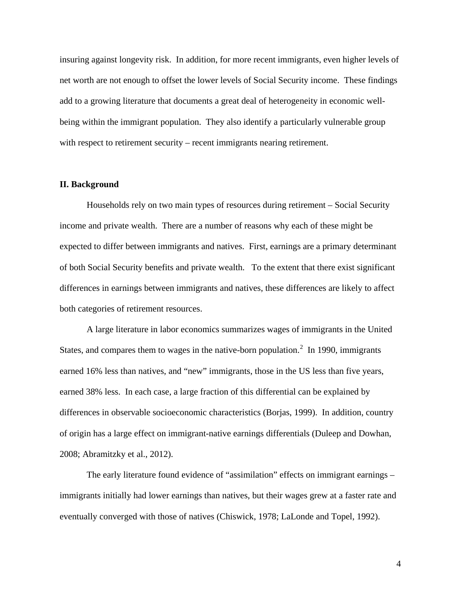insuring against longevity risk. In addition, for more recent immigrants, even higher levels of net worth are not enough to offset the lower levels of Social Security income. These findings add to a growing literature that documents a great deal of heterogeneity in economic wellbeing within the immigrant population. They also identify a particularly vulnerable group with respect to retirement security – recent immigrants nearing retirement.

### **II. Background**

Households rely on two main types of resources during retirement – Social Security income and private wealth. There are a number of reasons why each of these might be expected to differ between immigrants and natives. First, earnings are a primary determinant of both Social Security benefits and private wealth. To the extent that there exist significant differences in earnings between immigrants and natives, these differences are likely to affect both categories of retirement resources.

A large literature in labor economics summarizes wages of immigrants in the United States, and compares them to wages in the native-born population.<sup>[2](#page-38-1)</sup> In 1990, immigrants earned 16% less than natives, and "new" immigrants, those in the US less than five years, earned 38% less. In each case, a large fraction of this differential can be explained by differences in observable socioeconomic characteristics (Borjas, 1999). In addition, country of origin has a large effect on immigrant-native earnings differentials (Duleep and Dowhan, 2008; Abramitzky et al., 2012).

The early literature found evidence of "assimilation" effects on immigrant earnings – immigrants initially had lower earnings than natives, but their wages grew at a faster rate and eventually converged with those of natives (Chiswick, 1978; LaLonde and Topel, 1992).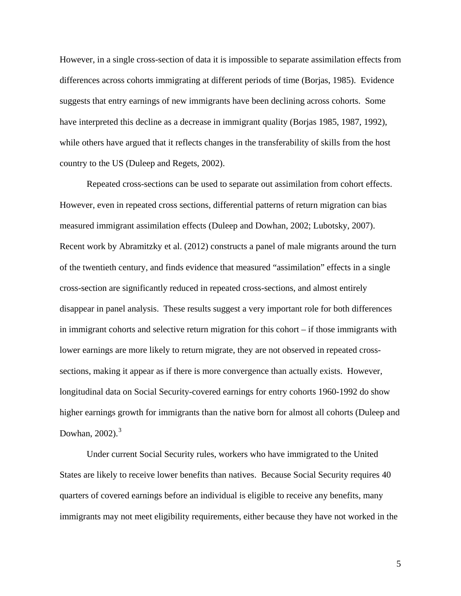However, in a single cross-section of data it is impossible to separate assimilation effects from differences across cohorts immigrating at different periods of time (Borjas, 1985). Evidence suggests that entry earnings of new immigrants have been declining across cohorts. Some have interpreted this decline as a decrease in immigrant quality (Borjas 1985, 1987, 1992), while others have argued that it reflects changes in the transferability of skills from the host country to the US (Duleep and Regets, 2002).

Repeated cross-sections can be used to separate out assimilation from cohort effects. However, even in repeated cross sections, differential patterns of return migration can bias measured immigrant assimilation effects (Duleep and Dowhan, 2002; Lubotsky, 2007). Recent work by Abramitzky et al. (2012) constructs a panel of male migrants around the turn of the twentieth century, and finds evidence that measured "assimilation" effects in a single cross-section are significantly reduced in repeated cross-sections, and almost entirely disappear in panel analysis. These results suggest a very important role for both differences in immigrant cohorts and selective return migration for this cohort – if those immigrants with lower earnings are more likely to return migrate, they are not observed in repeated crosssections, making it appear as if there is more convergence than actually exists. However, longitudinal data on Social Security-covered earnings for entry cohorts 1960-1992 do show higher earnings growth for immigrants than the native born for almost all cohorts (Duleep and Dowhan,  $2002$ ). $3$ 

Under current Social Security rules, workers who have immigrated to the United States are likely to receive lower benefits than natives. Because Social Security requires 40 quarters of covered earnings before an individual is eligible to receive any benefits, many immigrants may not meet eligibility requirements, either because they have not worked in the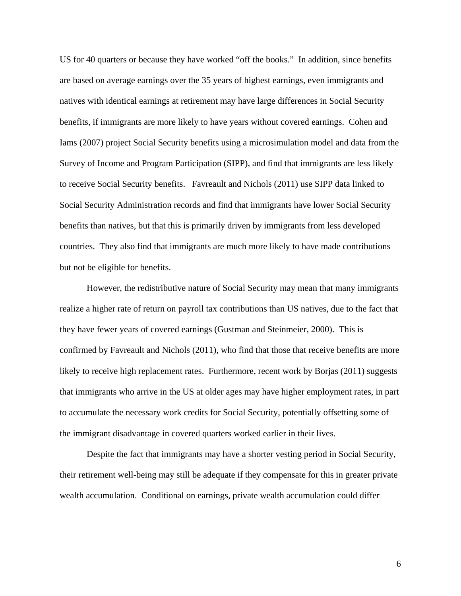US for 40 quarters or because they have worked "off the books." In addition, since benefits are based on average earnings over the 35 years of highest earnings, even immigrants and natives with identical earnings at retirement may have large differences in Social Security benefits, if immigrants are more likely to have years without covered earnings. Cohen and Iams (2007) project Social Security benefits using a microsimulation model and data from the Survey of Income and Program Participation (SIPP), and find that immigrants are less likely to receive Social Security benefits. Favreault and Nichols (2011) use SIPP data linked to Social Security Administration records and find that immigrants have lower Social Security benefits than natives, but that this is primarily driven by immigrants from less developed countries. They also find that immigrants are much more likely to have made contributions but not be eligible for benefits.

However, the redistributive nature of Social Security may mean that many immigrants realize a higher rate of return on payroll tax contributions than US natives, due to the fact that they have fewer years of covered earnings (Gustman and Steinmeier, 2000). This is confirmed by Favreault and Nichols (2011), who find that those that receive benefits are more likely to receive high replacement rates. Furthermore, recent work by Borjas (2011) suggests that immigrants who arrive in the US at older ages may have higher employment rates, in part to accumulate the necessary work credits for Social Security, potentially offsetting some of the immigrant disadvantage in covered quarters worked earlier in their lives.

Despite the fact that immigrants may have a shorter vesting period in Social Security, their retirement well-being may still be adequate if they compensate for this in greater private wealth accumulation. Conditional on earnings, private wealth accumulation could differ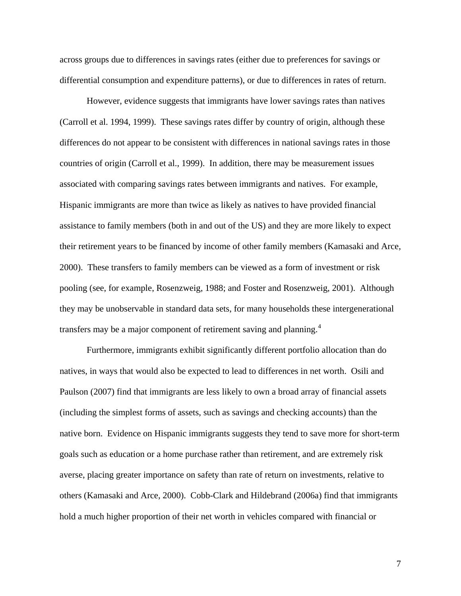across groups due to differences in savings rates (either due to preferences for savings or differential consumption and expenditure patterns), or due to differences in rates of return.

However, evidence suggests that immigrants have lower savings rates than natives (Carroll et al. 1994, 1999). These savings rates differ by country of origin, although these differences do not appear to be consistent with differences in national savings rates in those countries of origin (Carroll et al., 1999). In addition, there may be measurement issues associated with comparing savings rates between immigrants and natives. For example, Hispanic immigrants are more than twice as likely as natives to have provided financial assistance to family members (both in and out of the US) and they are more likely to expect their retirement years to be financed by income of other family members (Kamasaki and Arce, 2000). These transfers to family members can be viewed as a form of investment or risk pooling (see, for example, Rosenzweig, 1988; and Foster and Rosenzweig, 2001). Although they may be unobservable in standard data sets, for many households these intergenerational transfers may be a major component of retirement saving and planning.<sup>[4](#page-38-3)</sup>

Furthermore, immigrants exhibit significantly different portfolio allocation than do natives, in ways that would also be expected to lead to differences in net worth. Osili and Paulson (2007) find that immigrants are less likely to own a broad array of financial assets (including the simplest forms of assets, such as savings and checking accounts) than the native born. Evidence on Hispanic immigrants suggests they tend to save more for short-term goals such as education or a home purchase rather than retirement, and are extremely risk averse, placing greater importance on safety than rate of return on investments, relative to others (Kamasaki and Arce, 2000). Cobb-Clark and Hildebrand (2006a) find that immigrants hold a much higher proportion of their net worth in vehicles compared with financial or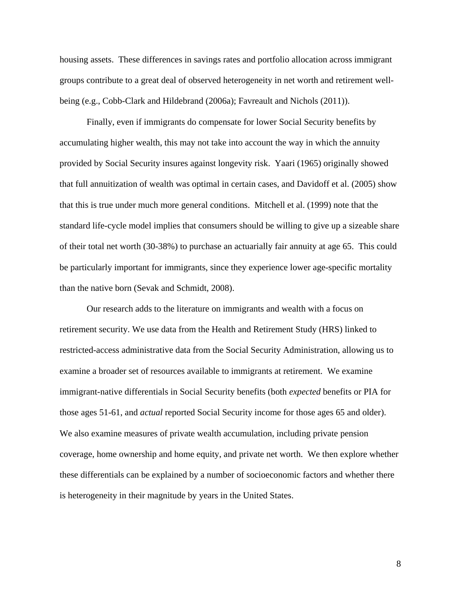housing assets. These differences in savings rates and portfolio allocation across immigrant groups contribute to a great deal of observed heterogeneity in net worth and retirement wellbeing (e.g., Cobb-Clark and Hildebrand (2006a); Favreault and Nichols (2011)).

Finally, even if immigrants do compensate for lower Social Security benefits by accumulating higher wealth, this may not take into account the way in which the annuity provided by Social Security insures against longevity risk. Yaari (1965) originally showed that full annuitization of wealth was optimal in certain cases, and Davidoff et al. (2005) show that this is true under much more general conditions. Mitchell et al. (1999) note that the standard life-cycle model implies that consumers should be willing to give up a sizeable share of their total net worth (30-38%) to purchase an actuarially fair annuity at age 65. This could be particularly important for immigrants, since they experience lower age-specific mortality than the native born (Sevak and Schmidt, 2008).

Our research adds to the literature on immigrants and wealth with a focus on retirement security. We use data from the Health and Retirement Study (HRS) linked to restricted-access administrative data from the Social Security Administration, allowing us to examine a broader set of resources available to immigrants at retirement. We examine immigrant-native differentials in Social Security benefits (both *expected* benefits or PIA for those ages 51-61, and *actual* reported Social Security income for those ages 65 and older). We also examine measures of private wealth accumulation, including private pension coverage, home ownership and home equity, and private net worth. We then explore whether these differentials can be explained by a number of socioeconomic factors and whether there is heterogeneity in their magnitude by years in the United States.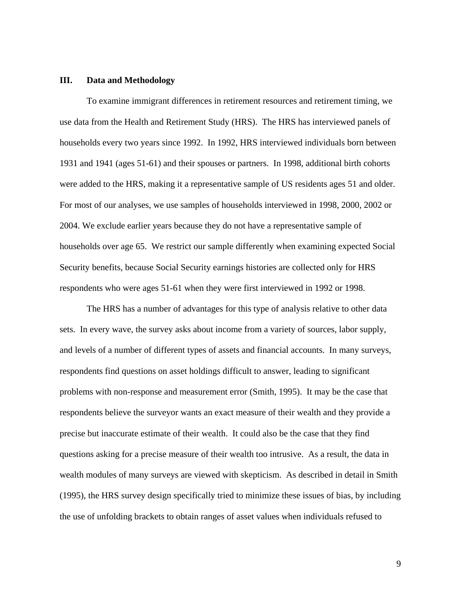#### **III. Data and Methodology**

To examine immigrant differences in retirement resources and retirement timing, we use data from the Health and Retirement Study (HRS). The HRS has interviewed panels of households every two years since 1992. In 1992, HRS interviewed individuals born between 1931 and 1941 (ages 51-61) and their spouses or partners. In 1998, additional birth cohorts were added to the HRS, making it a representative sample of US residents ages 51 and older. For most of our analyses, we use samples of households interviewed in 1998, 2000, 2002 or 2004. We exclude earlier years because they do not have a representative sample of households over age 65. We restrict our sample differently when examining expected Social Security benefits, because Social Security earnings histories are collected only for HRS respondents who were ages 51-61 when they were first interviewed in 1992 or 1998.

The HRS has a number of advantages for this type of analysis relative to other data sets. In every wave, the survey asks about income from a variety of sources, labor supply, and levels of a number of different types of assets and financial accounts. In many surveys, respondents find questions on asset holdings difficult to answer, leading to significant problems with non-response and measurement error (Smith, 1995). It may be the case that respondents believe the surveyor wants an exact measure of their wealth and they provide a precise but inaccurate estimate of their wealth. It could also be the case that they find questions asking for a precise measure of their wealth too intrusive. As a result, the data in wealth modules of many surveys are viewed with skepticism. As described in detail in Smith (1995), the HRS survey design specifically tried to minimize these issues of bias, by including the use of unfolding brackets to obtain ranges of asset values when individuals refused to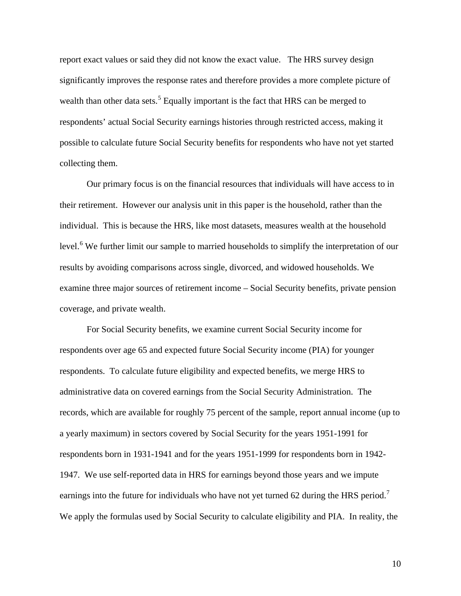report exact values or said they did not know the exact value. The HRS survey design significantly improves the response rates and therefore provides a more complete picture of wealth than other data sets.<sup>[5](#page-38-4)</sup> Equally important is the fact that HRS can be merged to respondents' actual Social Security earnings histories through restricted access, making it possible to calculate future Social Security benefits for respondents who have not yet started collecting them.

Our primary focus is on the financial resources that individuals will have access to in their retirement. However our analysis unit in this paper is the household, rather than the individual. This is because the HRS, like most datasets, measures wealth at the household level.<sup>[6](#page-38-5)</sup> We further limit our sample to married households to simplify the interpretation of our results by avoiding comparisons across single, divorced, and widowed households. We examine three major sources of retirement income – Social Security benefits, private pension coverage, and private wealth.

For Social Security benefits, we examine current Social Security income for respondents over age 65 and expected future Social Security income (PIA) for younger respondents. To calculate future eligibility and expected benefits, we merge HRS to administrative data on covered earnings from the Social Security Administration. The records, which are available for roughly 75 percent of the sample, report annual income (up to a yearly maximum) in sectors covered by Social Security for the years 1951-1991 for respondents born in 1931-1941 and for the years 1951-1999 for respondents born in 1942- 1947. We use self-reported data in HRS for earnings beyond those years and we impute earnings into the future for individuals who have not yet turned 62 during the HRS period.<sup>[7](#page-38-6)</sup> We apply the formulas used by Social Security to calculate eligibility and PIA. In reality, the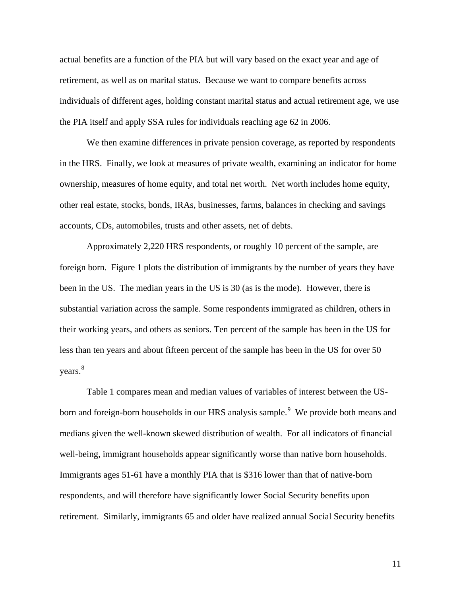actual benefits are a function of the PIA but will vary based on the exact year and age of retirement, as well as on marital status. Because we want to compare benefits across individuals of different ages, holding constant marital status and actual retirement age, we use the PIA itself and apply SSA rules for individuals reaching age 62 in 2006.

We then examine differences in private pension coverage, as reported by respondents in the HRS. Finally, we look at measures of private wealth, examining an indicator for home ownership, measures of home equity, and total net worth. Net worth includes home equity, other real estate, stocks, bonds, IRAs, businesses, farms, balances in checking and savings accounts, CDs, automobiles, trusts and other assets, net of debts.

Approximately 2,220 HRS respondents, or roughly 10 percent of the sample, are foreign born. Figure 1 plots the distribution of immigrants by the number of years they have been in the US. The median years in the US is 30 (as is the mode). However, there is substantial variation across the sample. Some respondents immigrated as children, others in their working years, and others as seniors. Ten percent of the sample has been in the US for less than ten years and about fifteen percent of the sample has been in the US for over 50 years.<sup>[8](#page-38-7)</sup>

Table 1 compares mean and median values of variables of interest between the US-born and foreign-born households in our HRS analysis sample.<sup>[9](#page-38-8)</sup> We provide both means and medians given the well-known skewed distribution of wealth. For all indicators of financial well-being, immigrant households appear significantly worse than native born households. Immigrants ages 51-61 have a monthly PIA that is \$316 lower than that of native-born respondents, and will therefore have significantly lower Social Security benefits upon retirement. Similarly, immigrants 65 and older have realized annual Social Security benefits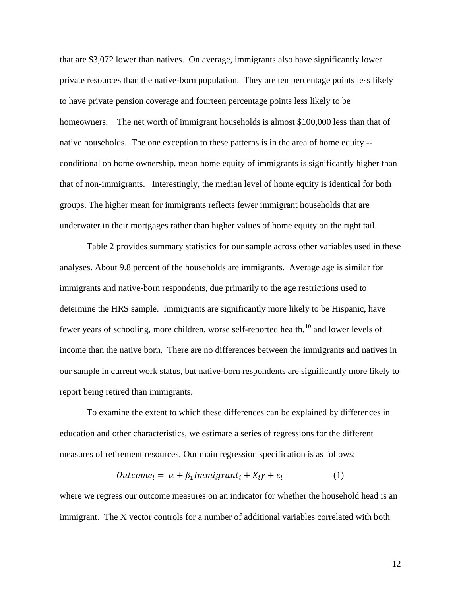that are \$3,072 lower than natives. On average, immigrants also have significantly lower private resources than the native-born population. They are ten percentage points less likely to have private pension coverage and fourteen percentage points less likely to be homeowners. The net worth of immigrant households is almost \$100,000 less than that of native households. The one exception to these patterns is in the area of home equity - conditional on home ownership, mean home equity of immigrants is significantly higher than that of non-immigrants. Interestingly, the median level of home equity is identical for both groups. The higher mean for immigrants reflects fewer immigrant households that are underwater in their mortgages rather than higher values of home equity on the right tail.

Table 2 provides summary statistics for our sample across other variables used in these analyses. About 9.8 percent of the households are immigrants. Average age is similar for immigrants and native-born respondents, due primarily to the age restrictions used to determine the HRS sample. Immigrants are significantly more likely to be Hispanic, have fewer years of schooling, more children, worse self-reported health, <sup>[10](#page-38-9)</sup> and lower levels of income than the native born. There are no differences between the immigrants and natives in our sample in current work status, but native-born respondents are significantly more likely to report being retired than immigrants.

To examine the extent to which these differences can be explained by differences in education and other characteristics, we estimate a series of regressions for the different measures of retirement resources. Our main regression specification is as follows:

$$
Outcome_i = \alpha + \beta_1 Immigrant_i + X_i\gamma + \varepsilon_i \tag{1}
$$

where we regress our outcome measures on an indicator for whether the household head is an immigrant. The X vector controls for a number of additional variables correlated with both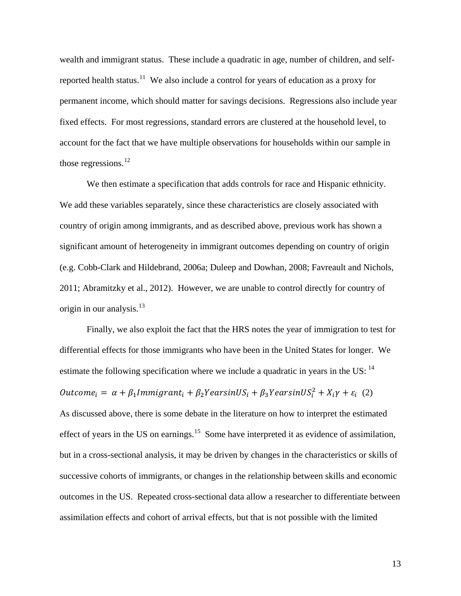wealth and immigrant status. These include a quadratic in age, number of children, and self-reported health status.<sup>[11](#page-38-10)</sup> We also include a control for years of education as a proxy for permanent income, which should matter for savings decisions. Regressions also include year fixed effects. For most regressions, standard errors are clustered at the household level, to account for the fact that we have multiple observations for households within our sample in those regressions.<sup>[12](#page-38-11)</sup>

We then estimate a specification that adds controls for race and Hispanic ethnicity. We add these variables separately, since these characteristics are closely associated with country of origin among immigrants, and as described above, previous work has shown a significant amount of heterogeneity in immigrant outcomes depending on country of origin (e.g. Cobb-Clark and Hildebrand, 2006a; Duleep and Dowhan, 2008; Favreault and Nichols, 2011; Abramitzky et al., 2012). However, we are unable to control directly for country of origin in our analysis.<sup>[13](#page-38-12)</sup>

Finally, we also exploit the fact that the HRS notes the year of immigration to test for differential effects for those immigrants who have been in the United States for longer. We estimate the following specification where we include a quadratic in years in the US:  $14$  $\textit{Outcome}_i = \alpha + \beta_1 \textit{Immigrant}_i + \beta_2 \textit{PearsinUS}_i + \beta_3 \textit{PearsinUS}_i^2 + X_i \gamma + \varepsilon_i$  (2) As discussed above, there is some debate in the literature on how to interpret the estimated effect of years in the US on earnings.<sup>[15](#page-38-14)</sup> Some have interpreted it as evidence of assimilation, but in a cross-sectional analysis, it may be driven by changes in the characteristics or skills of successive cohorts of immigrants, or changes in the relationship between skills and economic outcomes in the US. Repeated cross-sectional data allow a researcher to differentiate between assimilation effects and cohort of arrival effects, but that is not possible with the limited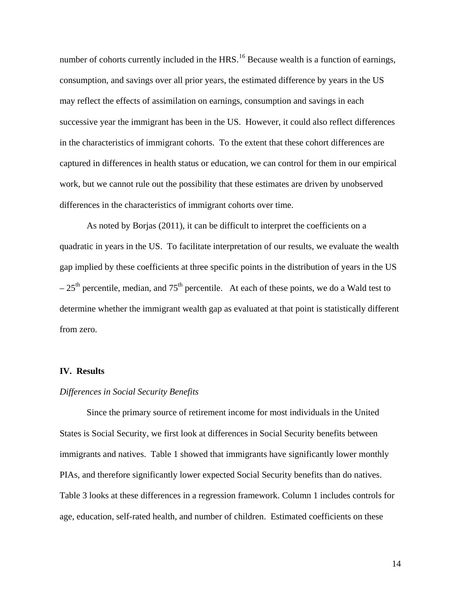number of cohorts currently included in the HRS.<sup>[16](#page-38-15)</sup> Because wealth is a function of earnings, consumption, and savings over all prior years, the estimated difference by years in the US may reflect the effects of assimilation on earnings, consumption and savings in each successive year the immigrant has been in the US. However, it could also reflect differences in the characteristics of immigrant cohorts. To the extent that these cohort differences are captured in differences in health status or education, we can control for them in our empirical work, but we cannot rule out the possibility that these estimates are driven by unobserved differences in the characteristics of immigrant cohorts over time.

As noted by Borjas (2011), it can be difficult to interpret the coefficients on a quadratic in years in the US. To facilitate interpretation of our results, we evaluate the wealth gap implied by these coefficients at three specific points in the distribution of years in the US  $-25<sup>th</sup>$  percentile, median, and  $75<sup>th</sup>$  percentile. At each of these points, we do a Wald test to determine whether the immigrant wealth gap as evaluated at that point is statistically different from zero.

### **IV. Results**

#### *Differences in Social Security Benefits*

Since the primary source of retirement income for most individuals in the United States is Social Security, we first look at differences in Social Security benefits between immigrants and natives. Table 1 showed that immigrants have significantly lower monthly PIAs, and therefore significantly lower expected Social Security benefits than do natives. Table 3 looks at these differences in a regression framework. Column 1 includes controls for age, education, self-rated health, and number of children. Estimated coefficients on these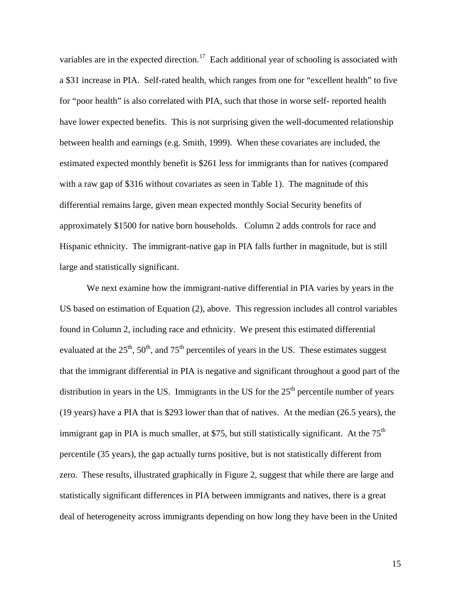variables are in the expected direction.<sup>[17](#page-38-16)</sup> Each additional year of schooling is associated with a \$31 increase in PIA. Self-rated health, which ranges from one for "excellent health" to five for "poor health" is also correlated with PIA, such that those in worse self- reported health have lower expected benefits. This is not surprising given the well-documented relationship between health and earnings (e.g. Smith, 1999). When these covariates are included, the estimated expected monthly benefit is \$261 less for immigrants than for natives (compared with a raw gap of \$316 without covariates as seen in Table 1). The magnitude of this differential remains large, given mean expected monthly Social Security benefits of approximately \$1500 for native born households. Column 2 adds controls for race and Hispanic ethnicity. The immigrant-native gap in PIA falls further in magnitude, but is still large and statistically significant.

We next examine how the immigrant-native differential in PIA varies by years in the US based on estimation of Equation (2), above. This regression includes all control variables found in Column 2, including race and ethnicity. We present this estimated differential evaluated at the  $25<sup>th</sup>$ ,  $50<sup>th</sup>$ , and  $75<sup>th</sup>$  percentiles of years in the US. These estimates suggest that the immigrant differential in PIA is negative and significant throughout a good part of the distribution in years in the US. Immigrants in the US for the  $25<sup>th</sup>$  percentile number of years (19 years) have a PIA that is \$293 lower than that of natives. At the median (26.5 years), the immigrant gap in PIA is much smaller, at \$75, but still statistically significant. At the  $75<sup>th</sup>$ percentile (35 years), the gap actually turns positive, but is not statistically different from zero. These results, illustrated graphically in Figure 2, suggest that while there are large and statistically significant differences in PIA between immigrants and natives, there is a great deal of heterogeneity across immigrants depending on how long they have been in the United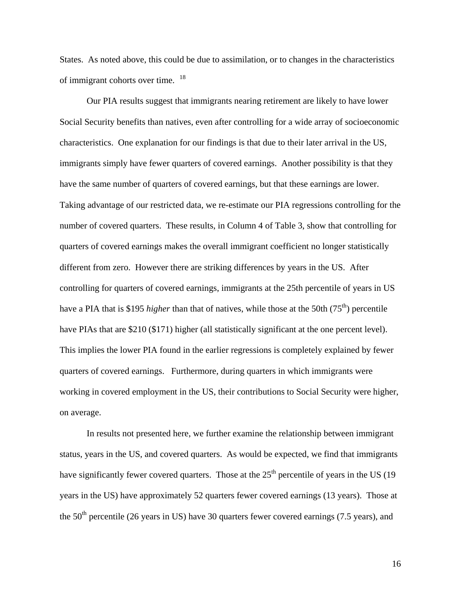States. As noted above, this could be due to assimilation, or to changes in the characteristics of immigrant cohorts over time. <sup>[18](#page-38-17)</sup>

Our PIA results suggest that immigrants nearing retirement are likely to have lower Social Security benefits than natives, even after controlling for a wide array of socioeconomic characteristics. One explanation for our findings is that due to their later arrival in the US, immigrants simply have fewer quarters of covered earnings. Another possibility is that they have the same number of quarters of covered earnings, but that these earnings are lower. Taking advantage of our restricted data, we re-estimate our PIA regressions controlling for the number of covered quarters. These results, in Column 4 of Table 3, show that controlling for quarters of covered earnings makes the overall immigrant coefficient no longer statistically different from zero. However there are striking differences by years in the US. After controlling for quarters of covered earnings, immigrants at the 25th percentile of years in US have a PIA that is \$195 *higher* than that of natives, while those at the 50th (75<sup>th</sup>) percentile have PIAs that are \$210 (\$171) higher (all statistically significant at the one percent level). This implies the lower PIA found in the earlier regressions is completely explained by fewer quarters of covered earnings. Furthermore, during quarters in which immigrants were working in covered employment in the US, their contributions to Social Security were higher, on average.

In results not presented here, we further examine the relationship between immigrant status, years in the US, and covered quarters. As would be expected, we find that immigrants have significantly fewer covered quarters. Those at the  $25<sup>th</sup>$  percentile of years in the US (19) years in the US) have approximately 52 quarters fewer covered earnings (13 years). Those at the  $50<sup>th</sup>$  percentile (26 years in US) have 30 quarters fewer covered earnings (7.5 years), and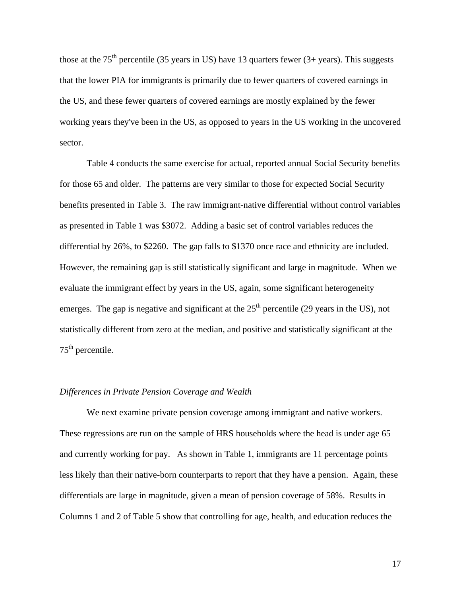those at the  $75<sup>th</sup>$  percentile (35 years in US) have 13 quarters fewer (3+ years). This suggests that the lower PIA for immigrants is primarily due to fewer quarters of covered earnings in the US, and these fewer quarters of covered earnings are mostly explained by the fewer working years they've been in the US, as opposed to years in the US working in the uncovered sector.

Table 4 conducts the same exercise for actual, reported annual Social Security benefits for those 65 and older. The patterns are very similar to those for expected Social Security benefits presented in Table 3. The raw immigrant-native differential without control variables as presented in Table 1 was \$3072. Adding a basic set of control variables reduces the differential by 26%, to \$2260. The gap falls to \$1370 once race and ethnicity are included. However, the remaining gap is still statistically significant and large in magnitude. When we evaluate the immigrant effect by years in the US, again, some significant heterogeneity emerges. The gap is negative and significant at the  $25<sup>th</sup>$  percentile (29 years in the US), not statistically different from zero at the median, and positive and statistically significant at the  $75<sup>th</sup>$  percentile.

### *Differences in Private Pension Coverage and Wealth*

We next examine private pension coverage among immigrant and native workers. These regressions are run on the sample of HRS households where the head is under age 65 and currently working for pay. As shown in Table 1, immigrants are 11 percentage points less likely than their native-born counterparts to report that they have a pension. Again, these differentials are large in magnitude, given a mean of pension coverage of 58%. Results in Columns 1 and 2 of Table 5 show that controlling for age, health, and education reduces the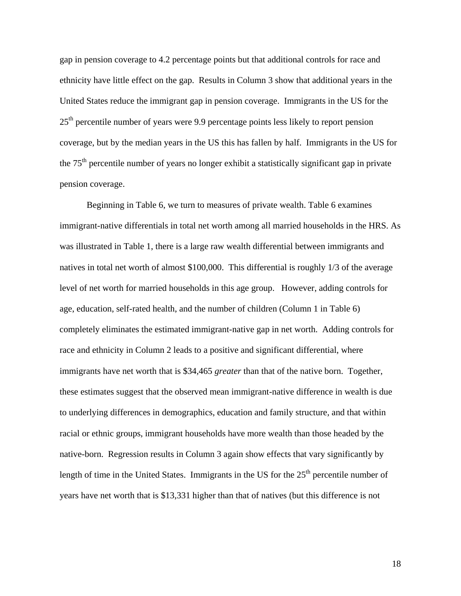gap in pension coverage to 4.2 percentage points but that additional controls for race and ethnicity have little effect on the gap. Results in Column 3 show that additional years in the United States reduce the immigrant gap in pension coverage. Immigrants in the US for the  $25<sup>th</sup>$  percentile number of years were 9.9 percentage points less likely to report pension coverage, but by the median years in the US this has fallen by half. Immigrants in the US for the 75<sup>th</sup> percentile number of years no longer exhibit a statistically significant gap in private pension coverage.

Beginning in Table 6, we turn to measures of private wealth. Table 6 examines immigrant-native differentials in total net worth among all married households in the HRS. As was illustrated in Table 1, there is a large raw wealth differential between immigrants and natives in total net worth of almost \$100,000. This differential is roughly 1/3 of the average level of net worth for married households in this age group. However, adding controls for age, education, self-rated health, and the number of children (Column 1 in Table 6) completely eliminates the estimated immigrant-native gap in net worth. Adding controls for race and ethnicity in Column 2 leads to a positive and significant differential, where immigrants have net worth that is \$34,465 *greater* than that of the native born. Together, these estimates suggest that the observed mean immigrant-native difference in wealth is due to underlying differences in demographics, education and family structure, and that within racial or ethnic groups, immigrant households have more wealth than those headed by the native-born. Regression results in Column 3 again show effects that vary significantly by length of time in the United States. Immigrants in the US for the  $25<sup>th</sup>$  percentile number of years have net worth that is \$13,331 higher than that of natives (but this difference is not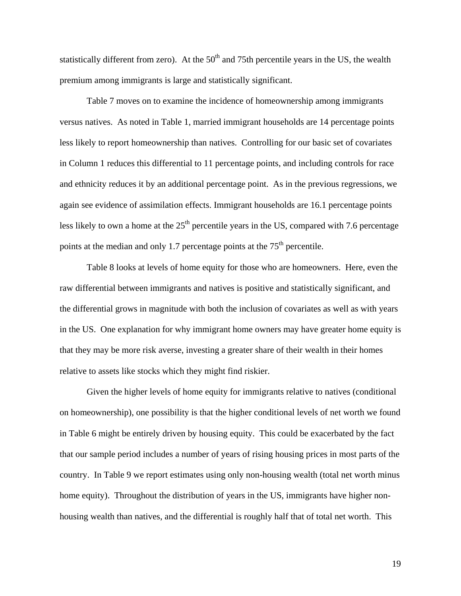statistically different from zero). At the  $50<sup>th</sup>$  and 75th percentile years in the US, the wealth premium among immigrants is large and statistically significant.

Table 7 moves on to examine the incidence of homeownership among immigrants versus natives. As noted in Table 1, married immigrant households are 14 percentage points less likely to report homeownership than natives. Controlling for our basic set of covariates in Column 1 reduces this differential to 11 percentage points, and including controls for race and ethnicity reduces it by an additional percentage point. As in the previous regressions, we again see evidence of assimilation effects. Immigrant households are 16.1 percentage points less likely to own a home at the  $25<sup>th</sup>$  percentile years in the US, compared with 7.6 percentage points at the median and only 1.7 percentage points at the  $75<sup>th</sup>$  percentile.

Table 8 looks at levels of home equity for those who are homeowners. Here, even the raw differential between immigrants and natives is positive and statistically significant, and the differential grows in magnitude with both the inclusion of covariates as well as with years in the US. One explanation for why immigrant home owners may have greater home equity is that they may be more risk averse, investing a greater share of their wealth in their homes relative to assets like stocks which they might find riskier.

Given the higher levels of home equity for immigrants relative to natives (conditional on homeownership), one possibility is that the higher conditional levels of net worth we found in Table 6 might be entirely driven by housing equity. This could be exacerbated by the fact that our sample period includes a number of years of rising housing prices in most parts of the country. In Table 9 we report estimates using only non-housing wealth (total net worth minus home equity). Throughout the distribution of years in the US, immigrants have higher nonhousing wealth than natives, and the differential is roughly half that of total net worth. This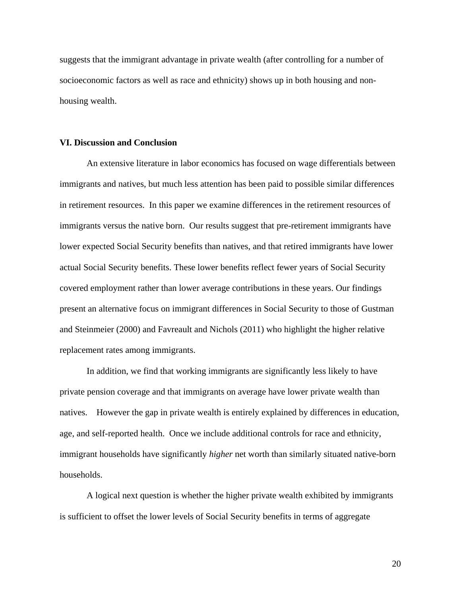suggests that the immigrant advantage in private wealth (after controlling for a number of socioeconomic factors as well as race and ethnicity) shows up in both housing and nonhousing wealth.

### **VI. Discussion and Conclusion**

An extensive literature in labor economics has focused on wage differentials between immigrants and natives, but much less attention has been paid to possible similar differences in retirement resources. In this paper we examine differences in the retirement resources of immigrants versus the native born. Our results suggest that pre-retirement immigrants have lower expected Social Security benefits than natives, and that retired immigrants have lower actual Social Security benefits. These lower benefits reflect fewer years of Social Security covered employment rather than lower average contributions in these years. Our findings present an alternative focus on immigrant differences in Social Security to those of Gustman and Steinmeier (2000) and Favreault and Nichols (2011) who highlight the higher relative replacement rates among immigrants.

In addition, we find that working immigrants are significantly less likely to have private pension coverage and that immigrants on average have lower private wealth than natives. However the gap in private wealth is entirely explained by differences in education, age, and self-reported health. Once we include additional controls for race and ethnicity, immigrant households have significantly *higher* net worth than similarly situated native-born households.

A logical next question is whether the higher private wealth exhibited by immigrants is sufficient to offset the lower levels of Social Security benefits in terms of aggregate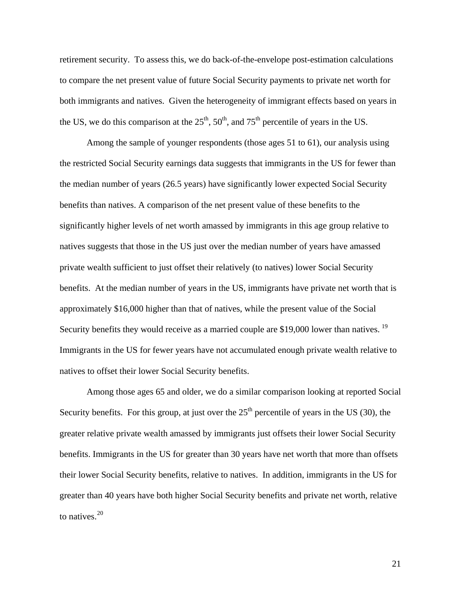retirement security. To assess this, we do back-of-the-envelope post-estimation calculations to compare the net present value of future Social Security payments to private net worth for both immigrants and natives. Given the heterogeneity of immigrant effects based on years in the US, we do this comparison at the  $25<sup>th</sup>$ ,  $50<sup>th</sup>$ , and  $75<sup>th</sup>$  percentile of years in the US.

Among the sample of younger respondents (those ages 51 to 61), our analysis using the restricted Social Security earnings data suggests that immigrants in the US for fewer than the median number of years (26.5 years) have significantly lower expected Social Security benefits than natives. A comparison of the net present value of these benefits to the significantly higher levels of net worth amassed by immigrants in this age group relative to natives suggests that those in the US just over the median number of years have amassed private wealth sufficient to just offset their relatively (to natives) lower Social Security benefits. At the median number of years in the US, immigrants have private net worth that is approximately \$16,000 higher than that of natives, while the present value of the Social Security benefits they would receive as a married couple are \$[19](#page-39-0),000 lower than natives.  $^{19}$ Immigrants in the US for fewer years have not accumulated enough private wealth relative to natives to offset their lower Social Security benefits.

Among those ages 65 and older, we do a similar comparison looking at reported Social Security benefits. For this group, at just over the  $25<sup>th</sup>$  percentile of years in the US (30), the greater relative private wealth amassed by immigrants just offsets their lower Social Security benefits. Immigrants in the US for greater than 30 years have net worth that more than offsets their lower Social Security benefits, relative to natives. In addition, immigrants in the US for greater than 40 years have both higher Social Security benefits and private net worth, relative to natives.<sup>[20](#page-39-1)</sup>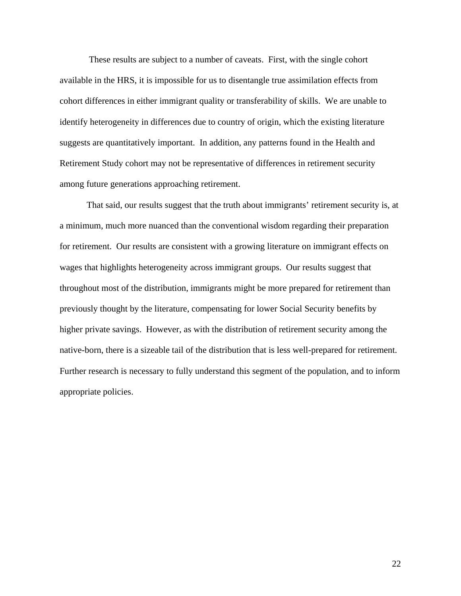These results are subject to a number of caveats. First, with the single cohort available in the HRS, it is impossible for us to disentangle true assimilation effects from cohort differences in either immigrant quality or transferability of skills. We are unable to identify heterogeneity in differences due to country of origin, which the existing literature suggests are quantitatively important. In addition, any patterns found in the Health and Retirement Study cohort may not be representative of differences in retirement security among future generations approaching retirement.

That said, our results suggest that the truth about immigrants' retirement security is, at a minimum, much more nuanced than the conventional wisdom regarding their preparation for retirement. Our results are consistent with a growing literature on immigrant effects on wages that highlights heterogeneity across immigrant groups. Our results suggest that throughout most of the distribution, immigrants might be more prepared for retirement than previously thought by the literature, compensating for lower Social Security benefits by higher private savings. However, as with the distribution of retirement security among the native-born, there is a sizeable tail of the distribution that is less well-prepared for retirement. Further research is necessary to fully understand this segment of the population, and to inform appropriate policies.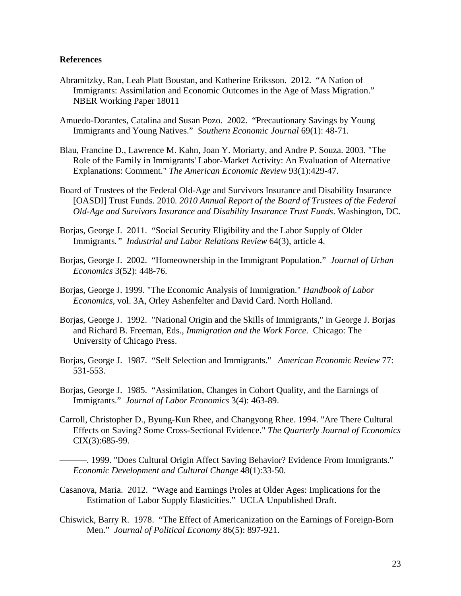#### **References**

- Abramitzky, Ran, Leah Platt Boustan, and Katherine Eriksson. 2012. "A Nation of Immigrants: Assimilation and Economic Outcomes in the Age of Mass Migration." NBER Working Paper 18011
- Amuedo-Dorantes, Catalina and Susan Pozo. 2002. "Precautionary Savings by Young Immigrants and Young Natives." *Southern Economic Journal* 69(1): 48-71.
- Blau, Francine D., Lawrence M. Kahn, Joan Y. Moriarty, and Andre P. Souza. 2003. "The Role of the Family in Immigrants' Labor-Market Activity: An Evaluation of Alternative Explanations: Comment." *The American Economic Review* 93(1):429-47.
- Board of Trustees of the Federal Old-Age and Survivors Insurance and Disability Insurance [OASDI] Trust Funds. 2010*. 2010 Annual Report of the Board of Trustees of the Federal Old-Age and Survivors Insurance and Disability Insurance Trust Funds*. Washington, DC.
- Borjas, George J. 2011. "Social Security Eligibility and the Labor Supply of Older Immigrants*." Industrial and Labor Relations Review* 64(3), article 4.
- Borjas, George J. 2002. "Homeownership in the Immigrant Population." *Journal of Urban Economics* 3(52): 448-76.
- Borjas, George J. 1999. "The Economic Analysis of Immigration." *Handbook of Labor Economics*, vol. 3A, Orley Ashenfelter and David Card. North Holland.
- Borjas, George J. 1992. "National Origin and the Skills of Immigrants," in George J. Borjas and Richard B. Freeman, Eds., *Immigration and the Work Force*. Chicago: The University of Chicago Press.
- Borjas, George J. 1987. "Self Selection and Immigrants." *American Economic Review* 77: 531-553.
- Borjas, George J. 1985. "Assimilation, Changes in Cohort Quality, and the Earnings of Immigrants." *Journal of Labor Economics* 3(4): 463-89.
- Carroll, Christopher D., Byung-Kun Rhee, and Changyong Rhee. 1994. "Are There Cultural Effects on Saving? Some Cross-Sectional Evidence." *The Quarterly Journal of Economics* CIX(3):685-99.
- ———. 1999. "Does Cultural Origin Affect Saving Behavior? Evidence From Immigrants." *Economic Development and Cultural Change* 48(1):33-50.
- Casanova, Maria. 2012. "Wage and Earnings Proles at Older Ages: Implications for the Estimation of Labor Supply Elasticities." UCLA Unpublished Draft.
- Chiswick, Barry R. 1978. "The Effect of Americanization on the Earnings of Foreign-Born Men." *Journal of Political Economy* 86(5): 897-921.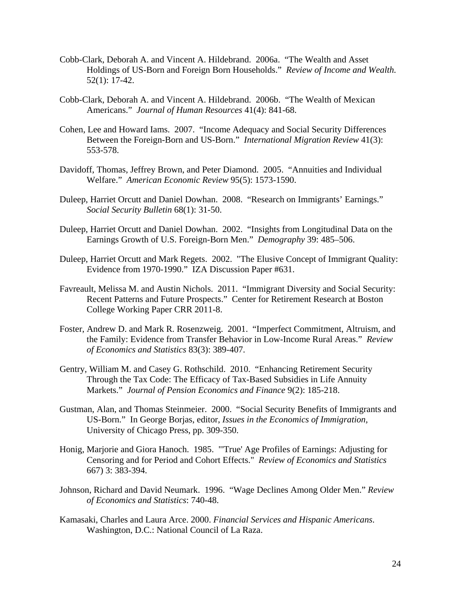- Cobb-Clark, Deborah A. and Vincent A. Hildebrand. 2006a. "The Wealth and Asset Holdings of US-Born and Foreign Born Households." *Review of Income and Wealth.* 52(1): 17-42.
- Cobb-Clark, Deborah A. and Vincent A. Hildebrand. 2006b. "The Wealth of Mexican Americans." *Journal of Human Resources* 41(4): 841-68.
- Cohen, Lee and Howard Iams. 2007. "Income Adequacy and Social Security Differences Between the Foreign-Born and US-Born." *International Migration Review* 41(3): 553-578.
- Davidoff, Thomas, Jeffrey Brown, and Peter Diamond. 2005. "Annuities and Individual Welfare." *American Economic Review* 95(5): 1573-1590.
- Duleep, Harriet Orcutt and Daniel Dowhan. 2008. "Research on Immigrants' Earnings." *Social Security Bulletin* 68(1): 31-50.
- Duleep, Harriet Orcutt and Daniel Dowhan. 2002. "Insights from Longitudinal Data on the Earnings Growth of U.S. Foreign-Born Men." *Demography* 39: 485–506.
- Duleep, Harriet Orcutt and Mark Regets. 2002. "The Elusive Concept of Immigrant Quality: Evidence from 1970-1990." IZA Discussion Paper #631.
- Favreault, Melissa M. and Austin Nichols. 2011. "Immigrant Diversity and Social Security: Recent Patterns and Future Prospects." Center for Retirement Research at Boston College Working Paper CRR 2011-8.
- Foster, Andrew D. and Mark R. Rosenzweig. 2001. "Imperfect Commitment, Altruism, and the Family: Evidence from Transfer Behavior in Low-Income Rural Areas." *Review of Economics and Statistics* 83(3): 389-407.
- Gentry, William M. and Casey G. Rothschild. 2010. "Enhancing Retirement Security Through the Tax Code: The Efficacy of Tax-Based Subsidies in Life Annuity Markets." *Journal of Pension Economics and Finance* 9(2): 185-218.
- Gustman, Alan, and Thomas Steinmeier. 2000. "Social Security Benefits of Immigrants and US-Born." In George Borjas, editor, *Issues in the Economics of Immigration,*  University of Chicago Press, pp. 309-350.
- Honig, Marjorie and Giora Hanoch. 1985. "'True' Age Profiles of Earnings: Adjusting for Censoring and for Period and Cohort Effects." *Review of Economics and Statistics* 667) 3: 383-394.
- Johnson, Richard and David Neumark. 1996. "Wage Declines Among Older Men." *Review of Economics and Statistics*: 740-48.
- Kamasaki, Charles and Laura Arce. 2000. *Financial Services and Hispanic Americans*. Washington, D.C.: National Council of La Raza.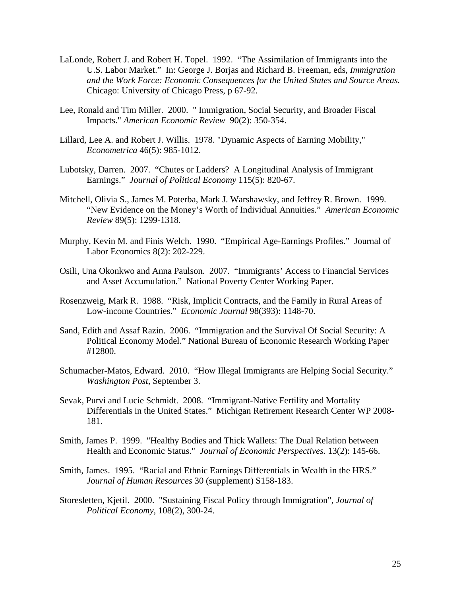- LaLonde, Robert J. and Robert H. Topel. 1992. "The Assimilation of Immigrants into the U.S. Labor Market." In: George J. Borjas and Richard B. Freeman, eds, *Immigration and the Work Force: Economic Consequences for the United States and Source Areas.*  Chicago: University of Chicago Press, p 67-92.
- Lee, Ronald and Tim Miller. 2000. " Immigration, Social Security, and Broader Fiscal Impacts." *American Economic Review* 90(2): 350-354.
- Lillard, Lee A. and Robert J. Willis. 1978. "Dynamic Aspects of Earning Mobility," *Econometrica* 46(5): 985-1012.
- Lubotsky, Darren. 2007. "Chutes or Ladders? A Longitudinal Analysis of Immigrant Earnings." *Journal of Political Economy* 115(5): 820-67.
- Mitchell, Olivia S., James M. Poterba, Mark J. Warshawsky, and Jeffrey R. Brown. 1999. "New Evidence on the Money's Worth of Individual Annuities." *American Economic Review* 89(5): 1299-1318.
- Murphy, Kevin M. and Finis Welch. 1990. "Empirical Age-Earnings Profiles." Journal of Labor Economics 8(2): 202-229.
- Osili, Una Okonkwo and Anna Paulson. 2007. "Immigrants' Access to Financial Services and Asset Accumulation." National Poverty Center Working Paper.
- Rosenzweig, Mark R. 1988. "Risk, Implicit Contracts, and the Family in Rural Areas of Low-income Countries." *Economic Journal* 98(393): 1148-70.
- Sand, Edith and Assaf Razin. 2006. "Immigration and the Survival Of Social Security: A Political Economy Model." National Bureau of Economic Research Working Paper #12800.
- Schumacher-Matos, Edward. 2010. "How Illegal Immigrants are Helping Social Security." *Washington Post*, September 3.
- Sevak, Purvi and Lucie Schmidt. 2008. "Immigrant-Native Fertility and Mortality Differentials in the United States." Michigan Retirement Research Center WP 2008- 181.
- Smith, James P. 1999. "Healthy Bodies and Thick Wallets: The Dual Relation between Health and Economic Status." *Journal of Economic Perspectives.* 13(2): 145-66.
- Smith, James. 1995. "Racial and Ethnic Earnings Differentials in Wealth in the HRS." *Journal of Human Resources* 30 (supplement) S158-183.
- Storesletten, Kjetil. 2000. "Sustaining Fiscal Policy through Immigration", *Journal of Political Economy*, 108(2), 300-24.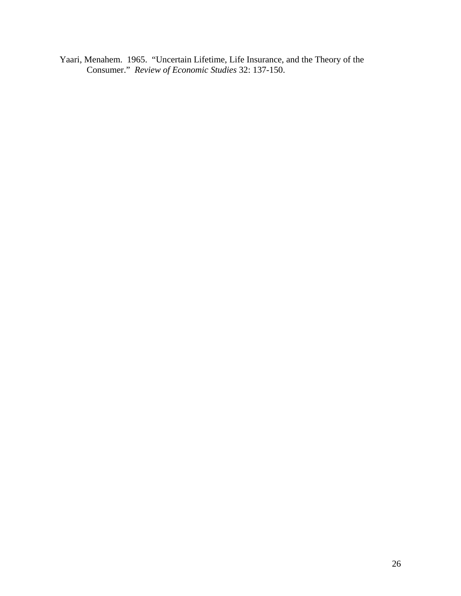Yaari, Menahem. 1965. "Uncertain Lifetime, Life Insurance, and the Theory of the Consumer." *Review of Economic Studies* 32: 137-150.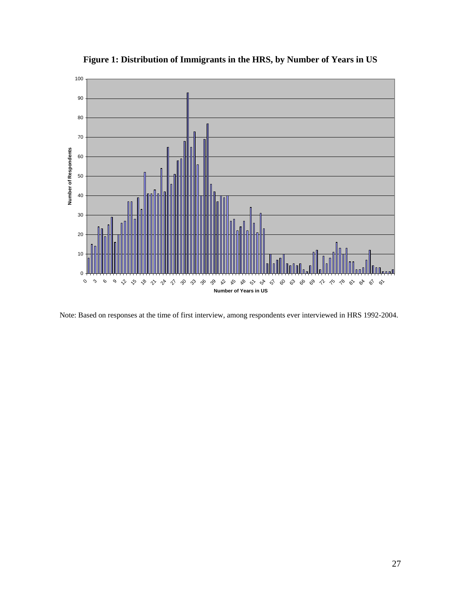

**Figure 1: Distribution of Immigrants in the HRS, by Number of Years in US**

Note: Based on responses at the time of first interview, among respondents ever interviewed in HRS 1992-2004.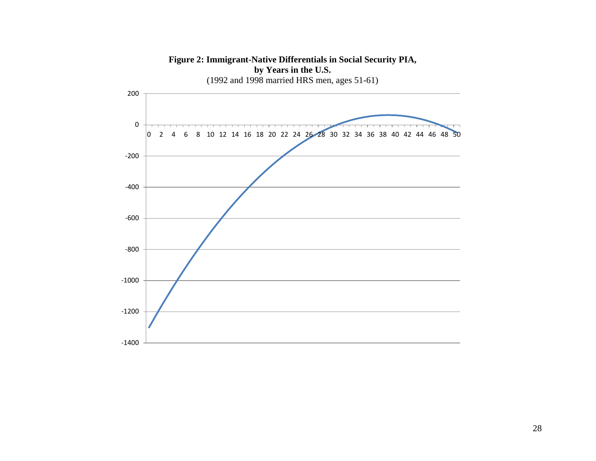

**Figure 2: Immigrant-Native Differentials in Social Security PIA, by Years in the U.S.**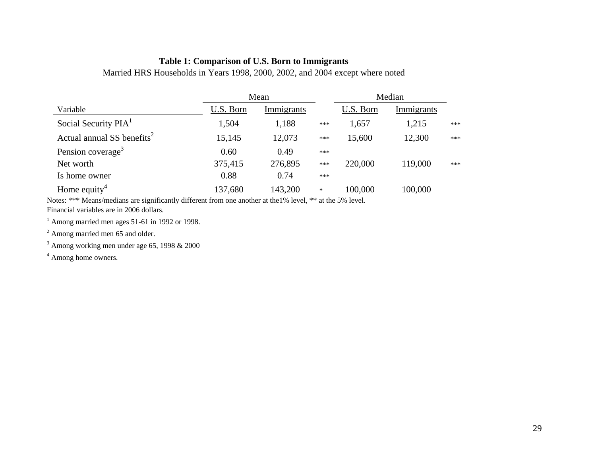## **Table 1: Comparison of U.S. Born to Immigrants**

|                                        |           | Mean       |        |           | Median     |     |
|----------------------------------------|-----------|------------|--------|-----------|------------|-----|
| Variable                               | U.S. Born | Immigrants |        | U.S. Born | Immigrants |     |
| Social Security PIA <sup>1</sup>       | 1,504     | 1,188      | ***    | 1,657     | 1,215      | *** |
| Actual annual SS benefits <sup>2</sup> | 15,145    | 12,073     | ***    | 15,600    | 12,300     | *** |
| Pension coverage <sup>3</sup>          | 0.60      | 0.49       | ***    |           |            |     |
| Net worth                              | 375,415   | 276,895    | ***    | 220,000   | 119,000    | *** |
| Is home owner                          | 0.88      | 0.74       | ***    |           |            |     |
| Home equity <sup>4</sup>               | 137,680   | 143,200    | $\ast$ | 100,000   | 100,000    |     |

Married HRS Households in Years 1998, 2000, 2002, and 2004 except where noted

Notes: \*\*\* Means/medians are significantly different from one another at the1% level, \*\* at the 5% level. Financial variables are in 2006 dollars.

 $1$  Among married men ages 51-61 in 1992 or 1998.

<sup>2</sup> Among married men 65 and older.

<sup>3</sup> Among working men under age 65, 1998 & 2000

<sup>4</sup> Among home owners.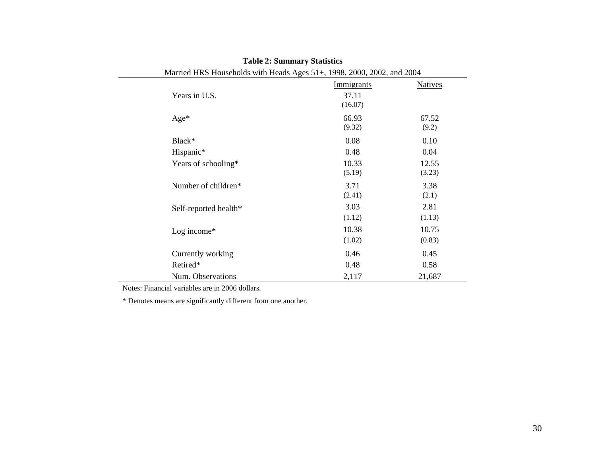|                       | Immigrants | <b>Natives</b> |
|-----------------------|------------|----------------|
| Years in U.S.         | 37.11      |                |
|                       | (16.07)    |                |
| $Age*$                | 66.93      | 67.52          |
|                       | (9.32)     | (9.2)          |
| Black*                | 0.08       | 0.10           |
| Hispanic*             | 0.48       | 0.04           |
| Years of schooling*   | 10.33      | 12.55          |
|                       | (5.19)     | (3.23)         |
| Number of children*   | 3.71       | 3.38           |
|                       | (2.41)     | (2.1)          |
| Self-reported health* | 3.03       | 2.81           |
|                       | (1.12)     | (1.13)         |
| Log income $*$        | 10.38      | 10.75          |
|                       | (1.02)     | (0.83)         |
| Currently working     | 0.46       | 0.45           |
| Retired*              | 0.48       | 0.58           |
| Num. Observations     | 2,117      | 21,687         |

## **Table 2: Summary Statistics**

Married HRS Households with Heads Ages 51+, 1998, 2000, 2002, and 2004

Notes: Financial variables are in 2006 dollars.

\* Denotes means are significantly different from one another.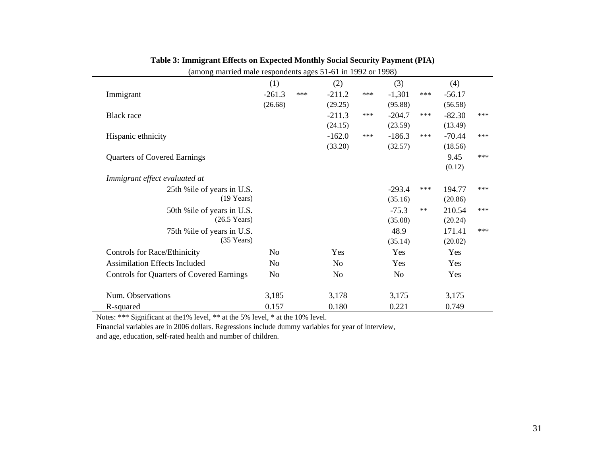| <del>------------------------------</del>        |          |     |          |       |          |      |          |       |
|--------------------------------------------------|----------|-----|----------|-------|----------|------|----------|-------|
|                                                  | (1)      |     | (2)      |       | (3)      |      | (4)      |       |
| Immigrant                                        | $-261.3$ | *** | $-211.2$ | $***$ | $-1,301$ | ***  | $-56.17$ |       |
|                                                  | (26.68)  |     | (29.25)  |       | (95.88)  |      | (56.58)  |       |
| <b>Black</b> race                                |          |     | $-211.3$ | ***   | $-204.7$ | ***  | $-82.30$ | $***$ |
|                                                  |          |     | (24.15)  |       | (23.59)  |      | (13.49)  |       |
| Hispanic ethnicity                               |          |     | $-162.0$ | ***   | $-186.3$ | ***  | $-70.44$ | ***   |
|                                                  |          |     | (33.20)  |       | (32.57)  |      | (18.56)  |       |
| <b>Quarters of Covered Earnings</b>              |          |     |          |       |          |      | 9.45     | ***   |
|                                                  |          |     |          |       |          |      | (0.12)   |       |
| Immigrant effect evaluated at                    |          |     |          |       |          |      |          |       |
| 25th % ile of years in U.S.                      |          |     |          |       | $-293.4$ | ***  | 194.77   | ***   |
| $(19$ Years)                                     |          |     |          |       | (35.16)  |      | (20.86)  |       |
| 50th % ile of years in U.S.                      |          |     |          |       | $-75.3$  | $**$ | 210.54   | $***$ |
| $(26.5 \text{ Years})$                           |          |     |          |       | (35.08)  |      | (20.24)  |       |
| 75th % ile of years in U.S.                      |          |     |          |       | 48.9     |      | 171.41   | $***$ |
| $(35$ Years)                                     |          |     |          |       | (35.14)  |      | (20.02)  |       |
| <b>Controls for Race/Ethinicity</b>              | No       |     | Yes      |       | Yes      |      | Yes      |       |
| <b>Assimilation Effects Included</b>             | No       |     | No       |       | Yes      |      | Yes      |       |
| <b>Controls for Quarters of Covered Earnings</b> | No       |     | No       |       | No       |      | Yes      |       |
| Num. Observations                                | 3,185    |     | 3,178    |       | 3,175    |      | 3,175    |       |
| R-squared                                        | 0.157    |     | 0.180    |       | 0.221    |      | 0.749    |       |

| Table 3: Immigrant Effects on Expected Monthly Social Security Payment (PIA) |  |  |  |
|------------------------------------------------------------------------------|--|--|--|
|                                                                              |  |  |  |

(among married male respondents ages 51-61 in 1992 or 1998)

Notes: \*\*\* Significant at the1% level, \*\* at the 5% level, \* at the 10% level.

Financial variables are in 2006 dollars. Regressions include dummy variables for year of interview,

and age, education, self-rated health and number of children.

 $\overline{\phantom{0}}$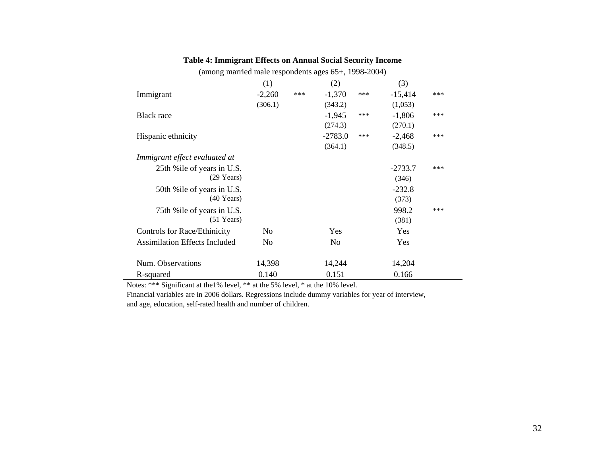| (among married male respondents ages 65+, 1998-2004) |                |     |                |     |           |     |
|------------------------------------------------------|----------------|-----|----------------|-----|-----------|-----|
|                                                      | (1)            |     | (2)            |     | (3)       |     |
| Immigrant                                            | $-2,260$       | *** | $-1,370$       | *** | $-15,414$ | *** |
|                                                      | (306.1)        |     | (343.2)        |     | (1,053)   |     |
| Black race                                           |                |     | $-1,945$       | *** | $-1,806$  | *** |
|                                                      |                |     | (274.3)        |     | (270.1)   |     |
| Hispanic ethnicity                                   |                |     | $-2783.0$      | *** | $-2,468$  | *** |
|                                                      |                |     | (364.1)        |     | (348.5)   |     |
| Immigrant effect evaluated at                        |                |     |                |     |           |     |
| 25th % ile of years in U.S.                          |                |     |                |     | $-2733.7$ | *** |
| $(29$ Years)                                         |                |     |                |     | (346)     |     |
| 50th % ile of years in U.S.                          |                |     |                |     | $-232.8$  |     |
| $(40$ Years)                                         |                |     |                |     | (373)     |     |
| 75th % ile of years in U.S.                          |                |     |                |     | 998.2     | *** |
| $(51$ Years)                                         |                |     |                |     | (381)     |     |
| Controls for Race/Ethinicity                         | No             |     | Yes            |     | Yes       |     |
| <b>Assimilation Effects Included</b>                 | N <sub>0</sub> |     | N <sub>0</sub> |     | Yes       |     |
| Num. Observations                                    | 14,398         |     | 14,244         |     | 14,204    |     |
| R-squared                                            | 0.140          |     | 0.151          |     | 0.166     |     |

**Table 4: Immigrant Effects on Annual Social Security Income**

Notes: \*\*\* Significant at the1% level, \*\* at the 5% level, \* at the 10% level.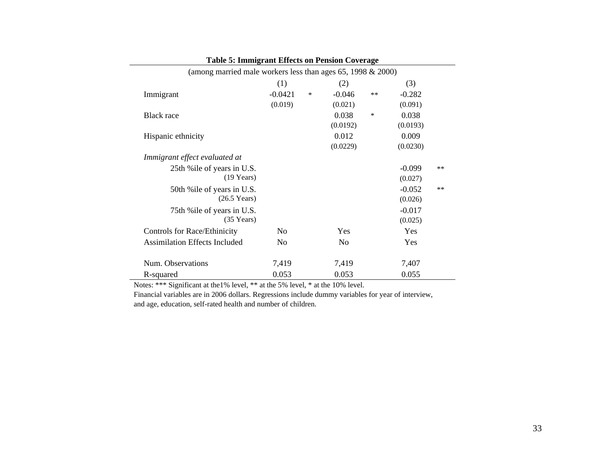| Table 5: Immigrant Effects on Pension Coverage                    |           |        |                |        |          |       |
|-------------------------------------------------------------------|-----------|--------|----------------|--------|----------|-------|
| (among married male workers less than ages $65$ , 1998 $& 2000$ ) |           |        |                |        |          |       |
|                                                                   | (1)       |        | (2)            |        | (3)      |       |
| Immigrant                                                         | $-0.0421$ | $\ast$ | $-0.046$       | $**$   | $-0.282$ |       |
|                                                                   | (0.019)   |        | (0.021)        |        | (0.091)  |       |
| <b>Black</b> race                                                 |           |        | 0.038          | $\ast$ | 0.038    |       |
|                                                                   |           |        | (0.0192)       |        | (0.0193) |       |
| Hispanic ethnicity                                                |           |        | 0.012          |        | 0.009    |       |
|                                                                   |           |        | (0.0229)       |        | (0.0230) |       |
| Immigrant effect evaluated at                                     |           |        |                |        |          |       |
| 25th % ile of years in U.S.                                       |           |        |                |        | $-0.099$ | $***$ |
| $(19 \text{ Years})$                                              |           |        |                |        | (0.027)  |       |
| 50th % ile of years in U.S.                                       |           |        |                |        | $-0.052$ | $***$ |
| $(26.5 \text{ Years})$                                            |           |        |                |        | (0.026)  |       |
| 75th % ile of years in U.S.                                       |           |        |                |        | $-0.017$ |       |
| $(35$ Years)                                                      |           |        |                |        | (0.025)  |       |
| <b>Controls for Race/Ethinicity</b>                               | No        |        | Yes            |        | Yes      |       |
| <b>Assimilation Effects Included</b>                              | No        |        | N <sub>0</sub> |        | Yes      |       |
|                                                                   |           |        |                |        |          |       |
| Num. Observations                                                 | 7,419     |        | 7,419          |        | 7,407    |       |
| R-squared                                                         | 0.053     |        | 0.053          |        | 0.055    |       |

| <b>Table 5: Immigrant Effects on Pension Coverage</b> |  |  |  |  |  |
|-------------------------------------------------------|--|--|--|--|--|
|-------------------------------------------------------|--|--|--|--|--|

Notes: \*\*\* Significant at the1% level, \*\* at the 5% level, \* at the 10% level.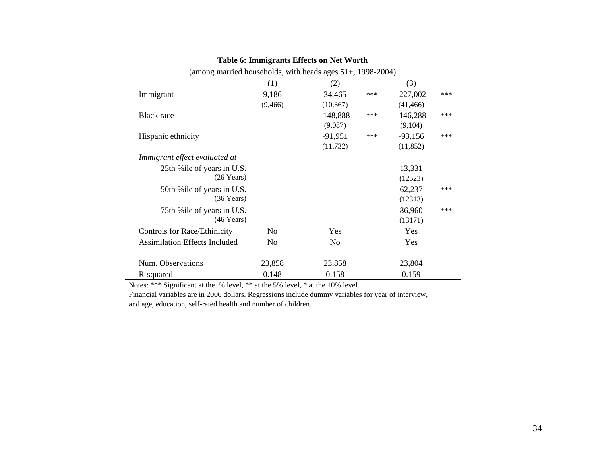| <b>Table 6: Immigrants Effects on Net Worth</b>               |                |            |       |            |     |  |  |  |
|---------------------------------------------------------------|----------------|------------|-------|------------|-----|--|--|--|
| (among married households, with heads ages $51+$ , 1998-2004) |                |            |       |            |     |  |  |  |
|                                                               | (1)            | (2)        |       | (3)        |     |  |  |  |
| Immigrant                                                     | 9,186          | 34,465     | ***   | $-227,002$ | *** |  |  |  |
|                                                               | (9, 466)       | (10, 367)  |       | (41, 466)  |     |  |  |  |
| <b>Black</b> race                                             |                | $-148,888$ | $***$ | $-146,288$ | *** |  |  |  |
|                                                               |                | (9,087)    |       | (9,104)    |     |  |  |  |
| Hispanic ethnicity                                            |                | $-91,951$  | ***   | $-93,156$  | *** |  |  |  |
|                                                               |                | (11, 732)  |       | (11, 852)  |     |  |  |  |
| Immigrant effect evaluated at                                 |                |            |       |            |     |  |  |  |
| 25th % ile of years in U.S.                                   |                |            |       | 13,331     |     |  |  |  |
| $(26$ Years)                                                  |                |            |       | (12523)    |     |  |  |  |
| 50th % ile of years in U.S.                                   |                |            |       | 62,237     | *** |  |  |  |
| $(36 \text{ Years})$                                          |                |            |       | (12313)    |     |  |  |  |
| 75th % ile of years in U.S.                                   |                |            |       | 86,960     | *** |  |  |  |
| $(46$ Years)                                                  |                |            |       | (13171)    |     |  |  |  |
| Controls for Race/Ethinicity                                  | N <sub>0</sub> | Yes        |       | Yes        |     |  |  |  |
| <b>Assimilation Effects Included</b>                          | N <sub>0</sub> | No         |       | Yes        |     |  |  |  |
| Num. Observations                                             | 23,858         | 23,858     |       | 23,804     |     |  |  |  |
| R-squared                                                     | 0.148          | 0.158      |       | 0.159      |     |  |  |  |

Notes: \*\*\* Significant at the1% level, \*\* at the 5% level, \* at the 10% level.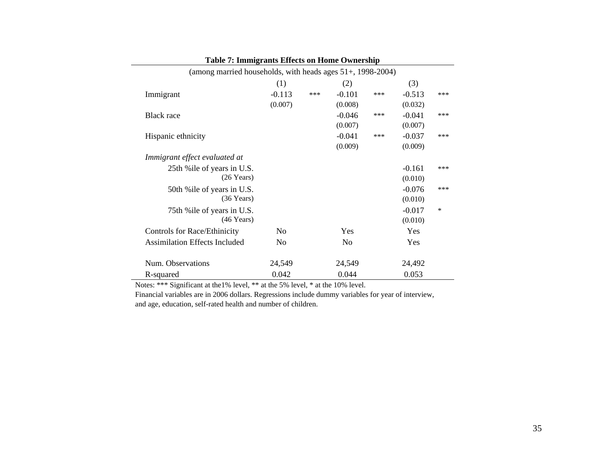| Table 7: Immigrants Effects on Home Ownership                 |                |     |                |     |          |     |
|---------------------------------------------------------------|----------------|-----|----------------|-----|----------|-----|
| (among married households, with heads ages $51+$ , 1998-2004) |                |     |                |     |          |     |
|                                                               | (1)            |     | (2)            |     | (3)      |     |
| Immigrant                                                     | $-0.113$       | *** | $-0.101$       | *** | $-0.513$ | *** |
|                                                               | (0.007)        |     | (0.008)        |     | (0.032)  |     |
| <b>Black</b> race                                             |                |     | $-0.046$       | *** | $-0.041$ | *** |
|                                                               |                |     | (0.007)        |     | (0.007)  |     |
| Hispanic ethnicity                                            |                |     | $-0.041$       | *** | $-0.037$ | *** |
|                                                               |                |     | (0.009)        |     | (0.009)  |     |
| Immigrant effect evaluated at                                 |                |     |                |     |          |     |
| 25th % ile of years in U.S.                                   |                |     |                |     | $-0.161$ | *** |
| $(26$ Years)                                                  |                |     |                |     | (0.010)  |     |
| 50th % ile of years in U.S.                                   |                |     |                |     | $-0.076$ | *** |
| $(36 \text{ Years})$                                          |                |     |                |     | (0.010)  |     |
| 75th % ile of years in U.S.                                   |                |     |                |     | $-0.017$ | ∗   |
| $(46$ Years)                                                  |                |     |                |     | (0.010)  |     |
| <b>Controls for Race/Ethinicity</b>                           | N <sub>o</sub> |     | Yes            |     | Yes      |     |
| <b>Assimilation Effects Included</b>                          | N <sub>o</sub> |     | N <sub>o</sub> |     | Yes      |     |
|                                                               |                |     |                |     |          |     |
| Num. Observations                                             | 24,549         |     | 24,549         |     | 24,492   |     |
| R-squared                                                     | 0.042          |     | 0.044          |     | 0.053    |     |

| <b>Table 7: Immigrants Effects on Home Ownership</b> |  |  |  |
|------------------------------------------------------|--|--|--|
|------------------------------------------------------|--|--|--|

Notes: \*\*\* Significant at the1% level, \*\* at the 5% level, \* at the 10% level.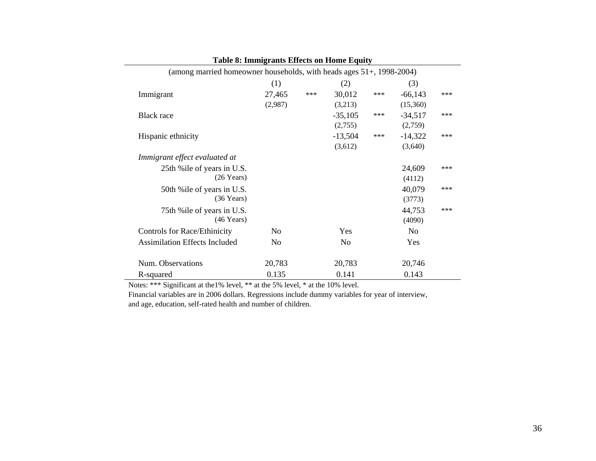| <b>Table 8: Immigrants Effects on Home Equity</b>                    |                |       |                |     |                |     |
|----------------------------------------------------------------------|----------------|-------|----------------|-----|----------------|-----|
| (among married homeowner households, with heads ages 51+, 1998-2004) |                |       |                |     |                |     |
|                                                                      | (1)            |       | (2)            |     | (3)            |     |
| Immigrant                                                            | 27,465         | $***$ | 30,012         | *** | $-66,143$      | *** |
|                                                                      | (2,987)        |       | (3,213)        |     | (15,360)       |     |
| <b>Black</b> race                                                    |                |       | $-35,105$      | *** | $-34,517$      | *** |
|                                                                      |                |       | (2,755)        |     | (2,759)        |     |
| Hispanic ethnicity                                                   |                |       | $-13,504$      | *** | $-14,322$      | *** |
|                                                                      |                |       | (3,612)        |     | (3,640)        |     |
| Immigrant effect evaluated at                                        |                |       |                |     |                |     |
| 25th % ile of years in U.S.                                          |                |       |                |     | 24,609         | *** |
| $(26$ Years)                                                         |                |       |                |     | (4112)         |     |
| 50th % ile of years in U.S.                                          |                |       |                |     | 40,079         | *** |
| $(36$ Years)                                                         |                |       |                |     | (3773)         |     |
| 75th % ile of years in U.S.                                          |                |       |                |     | 44,753         | *** |
| $(46$ Years)                                                         |                |       |                |     | (4090)         |     |
| <b>Controls for Race/Ethinicity</b>                                  | N <sub>0</sub> |       | Yes            |     | N <sub>0</sub> |     |
| <b>Assimilation Effects Included</b>                                 | No             |       | N <sub>0</sub> |     | Yes            |     |
|                                                                      |                |       |                |     |                |     |
| Num. Observations                                                    | 20,783         |       | 20,783         |     | 20,746         |     |
| R-squared                                                            | 0.135          |       | 0.141          |     | 0.143          |     |

**Table 8: Immigrants Effects on Home Equity**

Notes: \*\*\* Significant at the1% level, \*\* at the 5% level, \* at the 10% level.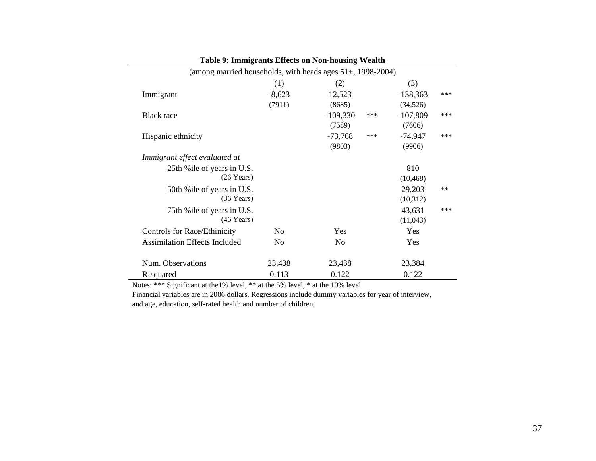| <b>Table 9: Immigrants Ellects on Non-nousing Wealth</b>   |          |            |     |            |      |
|------------------------------------------------------------|----------|------------|-----|------------|------|
| (among married households, with heads ages 51+, 1998-2004) |          |            |     |            |      |
|                                                            | (1)      | (2)        |     | (3)        |      |
| Immigrant                                                  | $-8,623$ | 12,523     |     | $-138,363$ | ***  |
|                                                            | (7911)   | (8685)     |     | (34, 526)  |      |
| <b>Black</b> race                                          |          | $-109,330$ | *** | $-107,809$ | ***  |
|                                                            |          | (7589)     |     | (7606)     |      |
| Hispanic ethnicity                                         |          | $-73,768$  | *** | $-74,947$  | ***  |
|                                                            |          | (9803)     |     | (9906)     |      |
| Immigrant effect evaluated at                              |          |            |     |            |      |
| 25th % ile of years in U.S.                                |          |            |     | 810        |      |
| $(26$ Years)                                               |          |            |     | (10, 468)  |      |
| 50th % ile of years in U.S.                                |          |            |     | 29,203     | $**$ |
| $(36$ Years)                                               |          |            |     | (10,312)   |      |
| 75th % ile of years in U.S.                                |          |            |     | 43,631     | ***  |
| $(46$ Years)                                               |          |            |     | (11,043)   |      |
| Controls for Race/Ethinicity                               | No       | Yes        |     | Yes        |      |
| <b>Assimilation Effects Included</b>                       | No       | No         |     | Yes        |      |
|                                                            |          |            |     |            |      |
| Num. Observations                                          | 23,438   | 23,438     |     | 23,384     |      |
| R-squared                                                  | 0.113    | 0.122      |     | 0.122      |      |

**Table 9: Immigrants Effects on Non-housing Wealth**

Notes: \*\*\* Significant at the1% level, \*\* at the 5% level, \* at the 10% level.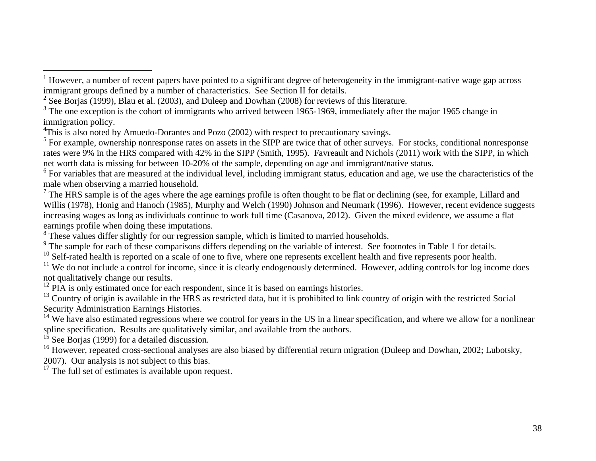<span id="page-38-5"></span> $6$  For variables that are measured at the individual level, including immigrant status, education and age, we use the characteristics of the male when observing a married household.

<span id="page-38-6"></span> $<sup>7</sup>$  The HRS sample is of the ages where the age earnings profile is often thought to be flat or declining (see, for example, Lillard and</sup> Willis (1978), Honig and Hanoch (1985), Murphy and Welch (1990) Johnson and Neumark (1996). However, recent evidence suggests increasing wages as long as individuals continue to work full time (Casanova, 2012). Given the mixed evidence, we assume a flat earnings profile when doing these imputations.

<span id="page-38-8"></span><span id="page-38-7"></span> $\degree$  These values differ slightly for our regression sample, which is limited to married households.<br> $\degree$  The sample for each of these comparisons differs depending on the variable of interest. See footnotes in Table 1 fo

<span id="page-38-9"></span> $10$  Self-rated health is reported on a scale of one to five, where one represents excellent health and five represents poor health.

<span id="page-38-10"></span><sup>11</sup> We do not include a control for income, since it is clearly endogenously determined. However, adding controls for log income does not qualitatively change our results.

<span id="page-38-11"></span> $12$  PIA is only estimated once for each respondent, since it is based on earnings histories.

<span id="page-38-12"></span> $^{13}$  Country of origin is available in the HRS as restricted data, but it is prohibited to link country of origin with the restricted Social Security Administration Earnings Histories.

<span id="page-38-13"></span><sup>14</sup> We have also estimated regressions where we control for years in the US in a linear specification, and where we allow for a nonlinear spline specification. Results are qualitatively similar, and available from the authors.

See Borjas (1999) for a detailed discussion.

<span id="page-38-15"></span><span id="page-38-14"></span><sup>16</sup> However, repeated cross-sectional analyses are also biased by differential return migration (Duleep and Dowhan, 2002; Lubotsky, 2007). Our analysis is not subject to this bias.

<span id="page-38-17"></span><span id="page-38-16"></span> $17$  The full set of estimates is available upon request.

<span id="page-38-0"></span> <sup>1</sup> However, a number of recent papers have pointed to a significant degree of heterogeneity in the immigrant-native wage gap across immigrant groups defined by a number of characteristics. See Section II for details.

<span id="page-38-1"></span> $2$  See Borjas (1999), Blau et al. (2003), and Duleep and Dowhan (2008) for reviews of this literature.

<span id="page-38-2"></span><sup>&</sup>lt;sup>3</sup> The one exception is the cohort of immigrants who arrived between 1965-1969, immediately after the major 1965 change in immigration policy.

<sup>&</sup>lt;sup>4</sup>This is also noted by Amuedo-Dorantes and Pozo (2002) with respect to precautionary savings.

<span id="page-38-4"></span><span id="page-38-3"></span> $<sup>5</sup>$  For example, ownership nonresponse rates on assets in the SIPP are twice that of other surveys. For stocks, conditional nonresponse</sup> rates were 9% in the HRS compared with 42% in the SIPP (Smith, 1995). Favreault and Nichols (2011) work with the SIPP, in which net worth data is missing for between 10-20% of the sample, depending on age and immigrant/native status.